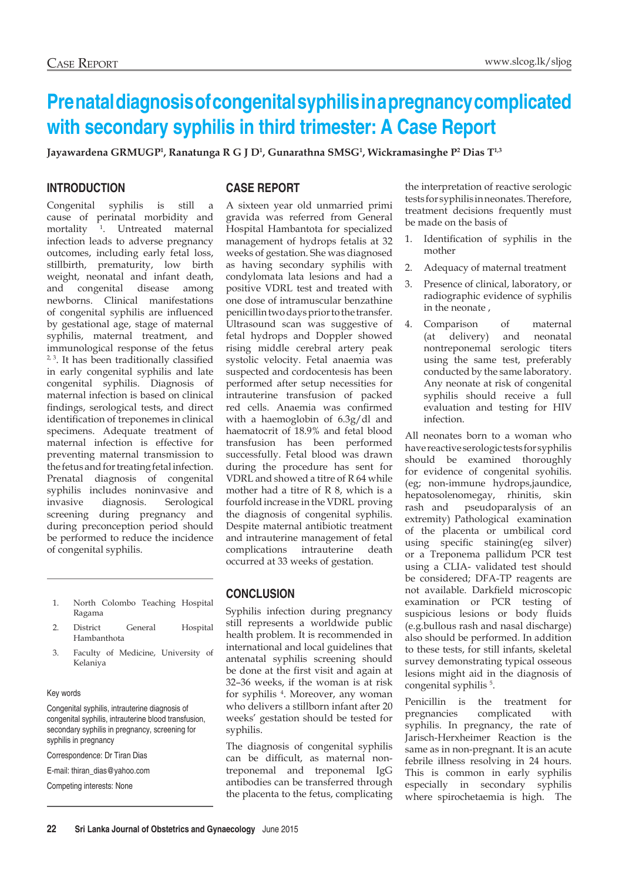# **Pre natal diagnosis of congenital syphilis in a pregnancy complicated with secondary syphilis in third trimester: A Case Report**

**Jayawardena GRMUGP1 , Ranatunga R G J D1 , Gunarathna SMSG1 , Wickramasinghe P2 Dias T1,3**

## **INTRODUCTION**

Congenital syphilis is still a cause of perinatal morbidity and mortality 1 . Untreated maternal infection leads to adverse pregnancy outcomes, including early fetal loss, stillbirth, prematurity, low birth weight, neonatal and infant death, and congenital disease among newborns. Clinical manifestations of congenital syphilis are influenced by gestational age, stage of maternal syphilis, maternal treatment, and immunological response of the fetus <sup>2, 3</sup>. It has been traditionally classified in early congenital syphilis and late congenital syphilis. Diagnosis of maternal infection is based on clinical findings, serological tests, and direct identification of treponemes in clinical specimens. Adequate treatment of maternal infection is effective for preventing maternal transmission to the fetus and for treating fetal infection. Prenatal diagnosis of congenital syphilis includes noninvasive and invasive diagnosis. Serological screening during pregnancy and during preconception period should be performed to reduce the incidence of congenital syphilis.

- 1. North Colombo Teaching Hospital Ragama
- 2. District General Hospital Hambanthota
- 3. Faculty of Medicine, University of Kelaniya

#### Key words

Congenital syphilis, intrauterine diagnosis of congenital syphilis, intrauterine blood transfusion, secondary syphilis in pregnancy, screening for syphilis in pregnancy

Correspondence: Dr Tiran Dias

E-mail: thiran\_dias@yahoo.com

Competing interests: None

### **CASE REPORT**

A sixteen year old unmarried primi gravida was referred from General Hospital Hambantota for specialized management of hydrops fetalis at 32 weeks of gestation. She was diagnosed as having secondary syphilis with condylomata lata lesions and had a positive VDRL test and treated with one dose of intramuscular benzathine penicillin two days prior to the transfer. Ultrasound scan was suggestive of fetal hydrops and Doppler showed rising middle cerebral artery peak systolic velocity. Fetal anaemia was suspected and cordocentesis has been performed after setup necessities for intrauterine transfusion of packed red cells. Anaemia was confirmed with a haemoglobin of 6.3g/dl and haematocrit of 18.9% and fetal blood transfusion has been performed successfully. Fetal blood was drawn during the procedure has sent for VDRL and showed a titre of R 64 while mother had a titre of R 8, which is a fourfold increase in the VDRL proving the diagnosis of congenital syphilis. Despite maternal antibiotic treatment and intrauterine management of fetal complications intrauterine death occurred at 33 weeks of gestation.

## **CONCLUSION**

Syphilis infection during pregnancy still represents a worldwide public health problem. It is recommended in international and local guidelines that antenatal syphilis screening should be done at the first visit and again at 32–36 weeks, if the woman is at risk for syphilis <sup>4</sup>. Moreover, any woman who delivers a stillborn infant after 20 weeks' gestation should be tested for syphilis.

The diagnosis of congenital syphilis can be difficult, as maternal nontreponemal and treponemal IgG antibodies can be transferred through the placenta to the fetus, complicating

the interpretation of reactive serologic tests for syphilis in neonates. Therefore, treatment decisions frequently must be made on the basis of

- 1. Identification of syphilis in the mother
- 2. Adequacy of maternal treatment
- 3. Presence of clinical, laboratory, or radiographic evidence of syphilis in the neonate ,
- 4. Comparison of maternal (at delivery) and neonatal nontreponemal serologic titers using the same test, preferably conducted by the same laboratory. Any neonate at risk of congenital syphilis should receive a full evaluation and testing for HIV infection.

All neonates born to a woman who have reactive serologic tests for syphilis should be examined thoroughly for evidence of congenital syohilis. (eg; non-immune hydrops,jaundice, hepatosolenomegay, rhinitis, skin rash and pseudoparalysis of an extremity) Pathological examination of the placenta or umbilical cord using specific staining(eg silver) or a Treponema pallidum PCR test using a CLIA- validated test should be considered; DFA-TP reagents are not available. Darkfield microscopic examination or PCR testing of suspicious lesions or body fluids (e.g.bullous rash and nasal discharge) also should be performed. In addition to these tests, for still infants, skeletal survey demonstrating typical osseous lesions might aid in the diagnosis of congenital syphilis<sup>5</sup>.

Penicillin is the treatment for pregnancies complicated with syphilis. In pregnancy, the rate of Jarisch-Herxheimer Reaction is the same as in non-pregnant. It is an acute febrile illness resolving in 24 hours. This is common in early syphilis especially in secondary syphilis where spirochetaemia is high. The